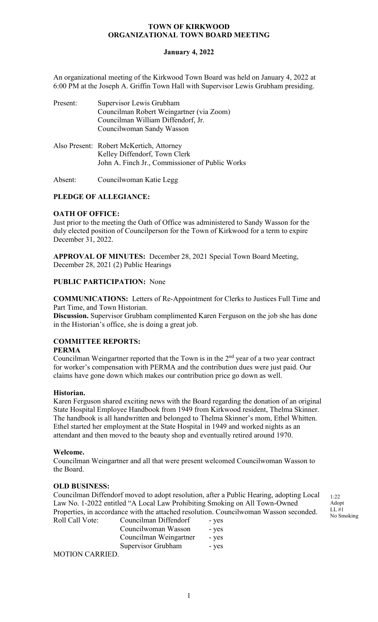# **January 4, 2022**

An organizational meeting of the Kirkwood Town Board was held on January 4, 2022 at 6:00 PM at the Joseph A. Griffin Town Hall with Supervisor Lewis Grubham presiding.

| Present: | Supervisor Lewis Grubham<br>Councilman Robert Weingartner (via Zoom)                                                         |
|----------|------------------------------------------------------------------------------------------------------------------------------|
|          | Councilman William Diffendorf, Jr.<br>Councilwoman Sandy Wasson                                                              |
|          | Also Present: Robert McKertich, Attorney<br>Kelley Diffendorf, Town Clerk<br>John A. Finch Jr., Commissioner of Public Works |

Absent: Councilwoman Katie Legg

# **PLEDGE OF ALLEGIANCE:**

# **OATH OF OFFICE:**

Just prior to the meeting the Oath of Office was administered to Sandy Wasson for the duly elected position of Councilperson for the Town of Kirkwood for a term to expire December 31, 2022.

**APPROVAL OF MINUTES:** December 28, 2021 Special Town Board Meeting, December 28, 2021 (2) Public Hearings

# **PUBLIC PARTICIPATION:** None

**COMMUNICATIONS:** Letters of Re-Appointment for Clerks to Justices Full Time and Part Time, and Town Historian.

**Discussion.** Supervisor Grubham complimented Karen Ferguson on the job she has done in the Historian's office, she is doing a great job.

# **COMMITTEE REPORTS:**

## **PERMA**

Councilman Weingartner reported that the Town is in the  $2<sup>nd</sup>$  year of a two year contract for worker's compensation with PERMA and the contribution dues were just paid. Our claims have gone down which makes our contribution price go down as well.

## **Historian.**

Karen Ferguson shared exciting news with the Board regarding the donation of an original State Hospital Employee Handbook from 1949 from Kirkwood resident, Thelma Skinner. The handbook is all handwritten and belonged to Thelma Skinner's mom, Ethel Whitten. Ethel started her employment at the State Hospital in 1949 and worked nights as an attendant and then moved to the beauty shop and eventually retired around 1970.

## **Welcome.**

Councilman Weingartner and all that were present welcomed Councilwoman Wasson to the Board.

# **OLD BUSINESS:**

Councilman Diffendorf moved to adopt resolution, after a Public Hearing, adopting Local Law No. 1-2022 entitled "A Local Law Prohibiting Smoking on All Town-Owned Properties, in accordance with the attached resolution. Councilwoman Wasson seconded. Roll Call Vote: Councilman Diffendorf - yes

Councilwoman Wasson - yes Councilman Weingartner - yes Supervisor Grubham - yes

MOTION CARRIED.

 $1.22$ Adopt LL #1 No Smoking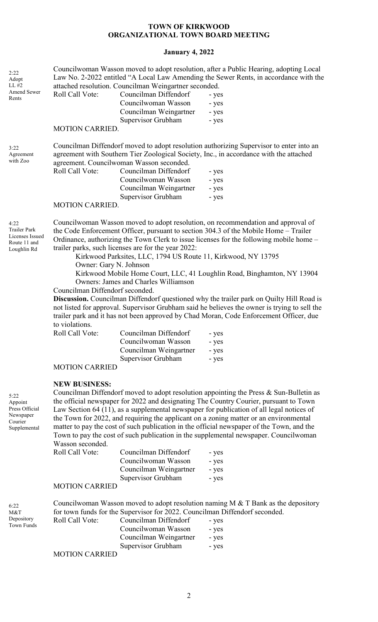# **January 4, 2022**

| 2:22<br>Adopt<br>LL #2<br>Amend Sewer<br>Rents                                | Roll Call Vote:                                                                                                         | attached resolution. Councilman Weingartner seconded.<br>Councilman Diffendorf<br>Councilwoman Wasson<br>Councilman Weingartner<br>Supervisor Grubham                                                                                                               | Councilwoman Wasson moved to adopt resolution, after a Public Hearing, adopting Local<br>Law No. 2-2022 entitled "A Local Law Amending the Sewer Rents, in accordance with the<br>- yes<br>- yes<br>- yes<br>- yes                                                                                                                                                                                                                                                                                                                                                                                                                                                       |
|-------------------------------------------------------------------------------|-------------------------------------------------------------------------------------------------------------------------|---------------------------------------------------------------------------------------------------------------------------------------------------------------------------------------------------------------------------------------------------------------------|--------------------------------------------------------------------------------------------------------------------------------------------------------------------------------------------------------------------------------------------------------------------------------------------------------------------------------------------------------------------------------------------------------------------------------------------------------------------------------------------------------------------------------------------------------------------------------------------------------------------------------------------------------------------------|
|                                                                               | <b>MOTION CARRIED.</b>                                                                                                  |                                                                                                                                                                                                                                                                     |                                                                                                                                                                                                                                                                                                                                                                                                                                                                                                                                                                                                                                                                          |
| 3:22<br>Agreement<br>with Zoo                                                 | Roll Call Vote:<br><b>MOTION CARRIED.</b>                                                                               | agreement. Councilwoman Wasson seconded.<br>Councilman Diffendorf<br>Councilwoman Wasson<br>Councilman Weingartner<br>Supervisor Grubham                                                                                                                            | Councilman Diffendorf moved to adopt resolution authorizing Supervisor to enter into an<br>agreement with Southern Tier Zoological Society, Inc., in accordance with the attached<br>- yes<br>- yes<br>- yes<br>- yes                                                                                                                                                                                                                                                                                                                                                                                                                                                    |
| 4:22<br><b>Trailer Park</b><br>Licenses Issued<br>Route 11 and<br>Loughlin Rd | Owner: Gary N. Johnson<br>Councilman Diffendorf seconded.<br>to violations.<br>Roll Call Vote:<br><b>MOTION CARRIED</b> | trailer parks, such licenses are for the year 2022:<br>Kirkwood Parksites, LLC, 1794 US Route 11, Kirkwood, NY 13795<br><b>Owners: James and Charles Williamson</b><br>Councilman Diffendorf<br>Councilwoman Wasson<br>Councilman Weingartner<br>Supervisor Grubham | Councilwoman Wasson moved to adopt resolution, on recommendation and approval of<br>the Code Enforcement Officer, pursuant to section 304.3 of the Mobile Home - Trailer<br>Ordinance, authorizing the Town Clerk to issue licenses for the following mobile home –<br>Kirkwood Mobile Home Court, LLC, 41 Loughlin Road, Binghamton, NY 13904<br>Discussion. Councilman Diffendorf questioned why the trailer park on Quilty Hill Road is<br>not listed for approval. Supervisor Grubham said he believes the owner is trying to sell the<br>trailer park and it has not been approved by Chad Moran, Code Enforcement Officer, due<br>- yes<br>- yes<br>- yes<br>- yes |
| 5:22<br>Appoint<br>Press Official<br>Newspaper<br>Courier<br>Supplemental     | <b>NEW BUSINESS:</b><br>Wasson seconded.<br>Roll Call Vote:<br><b>MOTION CARRIED</b>                                    | Councilman Diffendorf<br>Councilwoman Wasson<br>Councilman Weingartner<br>Supervisor Grubham                                                                                                                                                                        | Councilman Diffendorf moved to adopt resolution appointing the Press & Sun-Bulletin as<br>the official newspaper for 2022 and designating The Country Courier, pursuant to Town<br>Law Section 64 (11), as a supplemental newspaper for publication of all legal notices of<br>the Town for 2022, and requiring the applicant on a zoning matter or an environmental<br>matter to pay the cost of such publication in the official newspaper of the Town, and the<br>Town to pay the cost of such publication in the supplemental newspaper. Councilwoman<br>- yes<br>- yes<br>- yes<br>- yes                                                                            |
|                                                                               |                                                                                                                         |                                                                                                                                                                                                                                                                     | Councilwoman Wasson moved to adopt resolution naming $M < T$ Bank as the depository                                                                                                                                                                                                                                                                                                                                                                                                                                                                                                                                                                                      |
| 6:22<br>M&T<br>Depository<br>Town Funds                                       | Roll Call Vote:                                                                                                         | for town funds for the Supervisor for 2022. Councilman Diffendorf seconded.<br>Councilman Diffendorf<br>Councilwoman Wasson                                                                                                                                         | - yes<br>- yes                                                                                                                                                                                                                                                                                                                                                                                                                                                                                                                                                                                                                                                           |

MOTION CARRIED

Councilman Weingartner - yes Supervisor Grubham - yes

2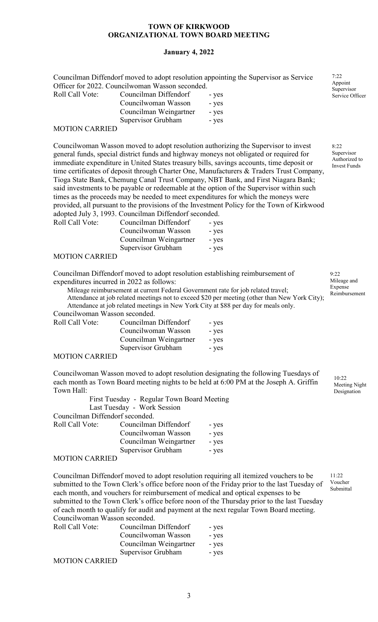## **January 4, 2022**

Councilman Diffendorf moved to adopt resolution appointing the Supervisor as Service Officer for 2022. Councilwoman Wasson seconded.

| Roll Call Vote: | Councilman Diffendorf  | - yes |
|-----------------|------------------------|-------|
|                 | Councilwoman Wasson    | - yes |
|                 | Councilman Weingartner | - yes |
|                 | Supervisor Grubham     | - yes |

#### MOTION CARRIED

Councilwoman Wasson moved to adopt resolution authorizing the Supervisor to invest general funds, special district funds and highway moneys not obligated or required for immediate expenditure in United States treasury bills, savings accounts, time deposit or time certificates of deposit through Charter One, Manufacturers & Traders Trust Company, Tioga State Bank, Chemung Canal Trust Company, NBT Bank, and First Niagara Bank; said investments to be payable or redeemable at the option of the Supervisor within such times as the proceeds may be needed to meet expenditures for which the moneys were provided, all pursuant to the provisions of the Investment Policy for the Town of Kirkwood adopted July 3, 1993. Councilman Diffendorf seconded. Roll Call Vot

| te: | Councilman Diffendorf  | - yes |
|-----|------------------------|-------|
|     | Councilwoman Wasson    | - yes |
|     | Councilman Weingartner | - yes |
|     | Supervisor Grubham     | - yes |

## MOTION CARRIED

Councilman Diffendorf moved to adopt resolution establishing reimbursement of expenditures incurred in 2022 as follows:

Mileage reimbursement at current Federal Government rate for job related travel; Attendance at job related meetings not to exceed \$20 per meeting (other than New York City);

Attendance at job related meetings in New York City at \$88 per day for meals only. Councilwoman Wasson seconded.

| Roll Call Vote: | Councilman Diffendorf  | - yes |
|-----------------|------------------------|-------|
|                 | Councilwoman Wasson    | - yes |
|                 | Councilman Weingartner | - yes |
|                 | Supervisor Grubham     | - yes |

## MOTION CARRIED

Councilwoman Wasson moved to adopt resolution designating the following Tuesdays of each month as Town Board meeting nights to be held at 6:00 PM at the Joseph A. Griffin Town Hall:

|                                 | First Tuesday - Regular Town Board Meeting<br>Last Tuesday - Work Session |       |
|---------------------------------|---------------------------------------------------------------------------|-------|
| Councilman Diffendorf seconded. |                                                                           |       |
| Roll Call Vote:                 | Councilman Diffendorf                                                     | - yes |
| Councilwoman Wasson             |                                                                           | - yes |
|                                 | Councilman Weingartner                                                    | - yes |
|                                 | Supervisor Grubham                                                        | - yes |

#### MOTION CARRIED

Councilman Diffendorf moved to adopt resolution requiring all itemized vouchers to be submitted to the Town Clerk's office before noon of the Friday prior to the last Tuesday of each month, and vouchers for reimbursement of medical and optical expenses to be submitted to the Town Clerk's office before noon of the Thursday prior to the last Tuesday of each month to qualify for audit and payment at the next regular Town Board meeting. Councilwoman Wasson seconded.

| Roll Call Vote:       | Councilman Diffendorf  | - yes |
|-----------------------|------------------------|-------|
|                       | Councilwoman Wasson    | - yes |
|                       | Councilman Weingartner | - yes |
|                       | Supervisor Grubham     | - yes |
| <b>MOTION CARRIED</b> |                        |       |

MOTION CARRIED

7:22 Appoint Supervisor Service Officer

8:22 Supervisor Authorized to Invest Funds

9:22 Mileage and Expense Reimbursement

> $10.22$ Meeting Night Designation

11:22 Voucher Submittal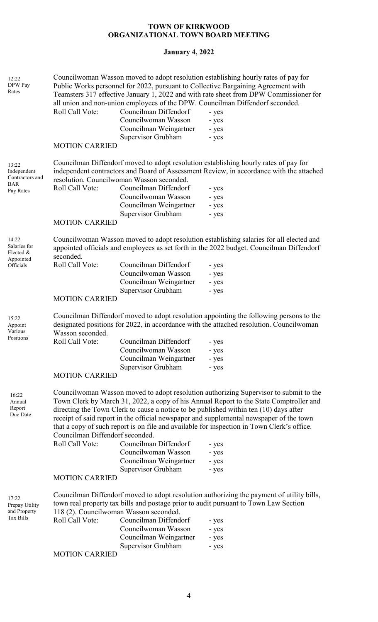# **January 4, 2022**

| 12:22<br>DPW Pay<br>Rates                                          | Roll Call Vote:<br><b>MOTION CARRIED</b>                                                                    | Councilman Diffendorf<br>Councilwoman Wasson<br>Councilman Weingartner<br>Supervisor Grubham                                              | Councilwoman Wasson moved to adopt resolution establishing hourly rates of pay for<br>Public Works personnel for 2022, pursuant to Collective Bargaining Agreement with<br>Teamsters 317 effective January 1, 2022 and with rate sheet from DPW Commissioner for<br>all union and non-union employees of the DPW. Councilman Diffendorf seconded.<br>- yes<br>- yes<br>- yes<br>- yes                                                                                                                 |
|--------------------------------------------------------------------|-------------------------------------------------------------------------------------------------------------|-------------------------------------------------------------------------------------------------------------------------------------------|-------------------------------------------------------------------------------------------------------------------------------------------------------------------------------------------------------------------------------------------------------------------------------------------------------------------------------------------------------------------------------------------------------------------------------------------------------------------------------------------------------|
| 13:22<br>Independent<br>Contractors and<br><b>BAR</b><br>Pay Rates | Roll Call Vote:<br><b>MOTION CARRIED</b>                                                                    | resolution. Councilwoman Wasson seconded.<br>Councilman Diffendorf<br>Councilwoman Wasson<br>Councilman Weingartner<br>Supervisor Grubham | Councilman Diffendorf moved to adopt resolution establishing hourly rates of pay for<br>independent contractors and Board of Assessment Review, in accordance with the attached<br>- yes<br>- yes<br>- yes<br>- yes                                                                                                                                                                                                                                                                                   |
| 14:22<br>Salaries for<br>Elected &<br>Appointed<br>Officials       | seconded.<br>Roll Call Vote:<br><b>MOTION CARRIED</b>                                                       | Councilman Diffendorf<br>Councilwoman Wasson<br>Councilman Weingartner<br>Supervisor Grubham                                              | Councilwoman Wasson moved to adopt resolution establishing salaries for all elected and<br>appointed officials and employees as set forth in the 2022 budget. Councilman Diffendorf<br>- yes<br>- yes<br>- yes<br>- yes                                                                                                                                                                                                                                                                               |
| 15:22<br>Appoint<br>Various<br>Positions                           | Wasson seconded.<br>Roll Call Vote:<br><b>MOTION CARRIED</b>                                                | Councilman Diffendorf<br>Councilwoman Wasson<br>Councilman Weingartner<br>Supervisor Grubham                                              | Councilman Diffendorf moved to adopt resolution appointing the following persons to the<br>designated positions for 2022, in accordance with the attached resolution. Councilwoman<br>- yes<br>- yes<br>- yes<br>- yes                                                                                                                                                                                                                                                                                |
| 16:22<br>Annual<br>Report<br>Due Date                              | Councilman Diffendorf seconded.<br>Roll Call Vote:                                                          | Councilman Diffendorf<br>Councilwoman Wasson<br>Councilman Weingartner<br>Supervisor Grubham                                              | Councilwoman Wasson moved to adopt resolution authorizing Supervisor to submit to the<br>Town Clerk by March 31, 2022, a copy of his Annual Report to the State Comptroller and<br>directing the Town Clerk to cause a notice to be published within ten (10) days after<br>receipt of said report in the official newspaper and supplemental newspaper of the town<br>that a copy of such report is on file and available for inspection in Town Clerk's office.<br>- yes<br>- yes<br>- yes<br>- yes |
| 17:22<br>Prepay Utility<br>and Property<br>Tax Bills               | <b>MOTION CARRIED</b><br>118 (2). Councilwoman Wasson seconded.<br>Roll Call Vote:<br><b>MOTION CARRIED</b> | Councilman Diffendorf<br>Councilwoman Wasson<br>Councilman Weingartner<br>Supervisor Grubham                                              | Councilman Diffendorf moved to adopt resolution authorizing the payment of utility bills,<br>town real property tax bills and postage prior to audit pursuant to Town Law Section<br>- yes<br>- yes<br>- yes<br>- yes                                                                                                                                                                                                                                                                                 |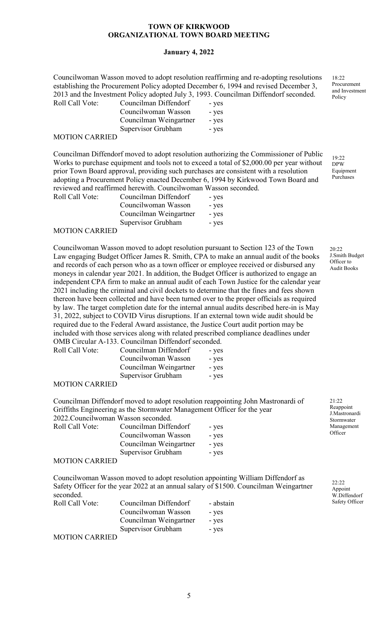## **January 4, 2022**

Councilwoman Wasson moved to adopt resolution reaffirming and re-adopting resolutions establishing the Procurement Policy adopted December 6, 1994 and revised December 3, 2013 and the Investment Policy adopted July 3, 1993. Councilman Diffendorf seconded. Roll Call Vote: Councilman Diffendorf - yes

Councilwoman Wasson - yes Councilman Weingartner - yes Supervisor Grubham - yes

# MOTION CARRIED

Councilman Diffendorf moved to adopt resolution authorizing the Commissioner of Public Works to purchase equipment and tools not to exceed a total of \$2,000.00 per year without prior Town Board approval, providing such purchases are consistent with a resolution adopting a Procurement Policy enacted December 6, 1994 by Kirkwood Town Board and reviewed and reaffirmed herewith. Councilwoman Wasson seconded.

| Roll Call Vote: | Councilman Diffendorf  | - yes |
|-----------------|------------------------|-------|
|                 | Councilwoman Wasson    | - yes |
|                 | Councilman Weingartner | - yes |
|                 | Supervisor Grubham     | - yes |

#### MOTION CARRIED

Councilwoman Wasson moved to adopt resolution pursuant to Section 123 of the Town Law engaging Budget Officer James R. Smith, CPA to make an annual audit of the books and records of each person who as a town officer or employee received or disbursed any moneys in calendar year 2021. In addition, the Budget Officer is authorized to engage an independent CPA firm to make an annual audit of each Town Justice for the calendar year 2021 including the criminal and civil dockets to determine that the fines and fees shown thereon have been collected and have been turned over to the proper officials as required by law. The target completion date for the internal annual audits described here-in is May 31, 2022, subject to COVID Virus disruptions. If an external town wide audit should be required due to the Federal Award assistance, the Justice Court audit portion may be included with those services along with related prescribed compliance deadlines under OMB Circular A-133. Councilman Diffendorf seconded.

| Roll Call Vote: | Councilman Diffendorf  | - yes |
|-----------------|------------------------|-------|
|                 | Councilwoman Wasson    | - yes |
|                 | Councilman Weingartner | - yes |
|                 | Supervisor Grubham     | - yes |

#### MOTION CARRIED

Councilman Diffendorf moved to adopt resolution reappointing John Mastronardi of Griffiths Engineering as the Stormwater Management Officer for the year 2022.Councilwoman Wasson seconded.

| Roll Call Vote:                                                   | Councilman Diffendorf  | - yes |
|-------------------------------------------------------------------|------------------------|-------|
|                                                                   | Councilwoman Wasson    | - yes |
|                                                                   | Councilman Weingartner | - yes |
|                                                                   | Supervisor Grubham     | - yes |
| $\lambda$ (offor $\lambda$ in $\lambda$ in $\lambda$ in $\lambda$ |                        |       |

#### MOTION CARRIED

MOTION CARRIED

Councilwoman Wasson moved to adopt resolution appointing William Diffendorf as Safety Officer for the year 2022 at an annual salary of \$1500. Councilman Weingartner seconded. Roll Call Vote: Councilman Diffendorf - abstain

> Councilwoman Wasson - yes Councilman Weingartner - yes Supervisor Grubham - yes

20:22 J.Smith Budget Officer to Audit Books

21:22 Reappoint J.Mastronardi Stormwater Management **Officer** 

> 22:22 Appoint W.Diffendorf Safety Officer

18:22 Procurement and Investment Policy

 $19.22$ DPW Equipment Purchases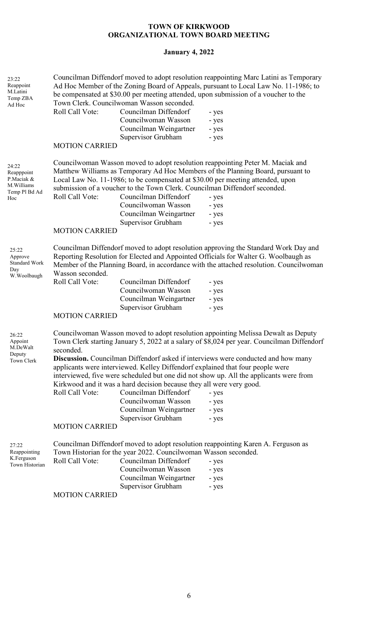# **January 4, 2022**

| Councilman Diffendorf moved to adopt resolution reappointing Marc Latini as Temporary<br>Ad Hoc Member of the Zoning Board of Appeals, pursuant to Local Law No. 11-1986; to<br>be compensated at \$30.00 per meeting attended, upon submission of a voucher to the<br>Town Clerk. Councilwoman Wasson seconded.<br>Roll Call Vote:<br>Councilman Diffendorf<br>- yes<br>Councilwoman Wasson<br>- yes<br>Councilman Weingartner<br>- yes<br>Supervisor Grubham<br>- yes                                                                                                                                                                                                                      |
|----------------------------------------------------------------------------------------------------------------------------------------------------------------------------------------------------------------------------------------------------------------------------------------------------------------------------------------------------------------------------------------------------------------------------------------------------------------------------------------------------------------------------------------------------------------------------------------------------------------------------------------------------------------------------------------------|
| <b>MOTION CARRIED</b>                                                                                                                                                                                                                                                                                                                                                                                                                                                                                                                                                                                                                                                                        |
| Councilwoman Wasson moved to adopt resolution reappointing Peter M. Maciak and<br>Matthew Williams as Temporary Ad Hoc Members of the Planning Board, pursuant to<br>Local Law No. 11-1986; to be compensated at \$30.00 per meeting attended, upon<br>submission of a voucher to the Town Clerk. Councilman Diffendorf seconded.<br>Roll Call Vote:<br>Councilman Diffendorf<br>- yes<br>Councilwoman Wasson<br>- yes<br>Councilman Weingartner<br>- yes<br>Supervisor Grubham<br>- yes<br><b>MOTION CARRIED</b>                                                                                                                                                                            |
| Councilman Diffendorf moved to adopt resolution approving the Standard Work Day and<br>Reporting Resolution for Elected and Appointed Officials for Walter G. Woolbaugh as<br>Member of the Planning Board, in accordance with the attached resolution. Councilwoman<br>Wasson seconded.                                                                                                                                                                                                                                                                                                                                                                                                     |
| Roll Call Vote:<br>Councilman Diffendorf<br>- yes<br>Councilwoman Wasson<br>- yes<br>Councilman Weingartner<br>- yes<br>Supervisor Grubham<br>- yes                                                                                                                                                                                                                                                                                                                                                                                                                                                                                                                                          |
| <b>MOTION CARRIED</b>                                                                                                                                                                                                                                                                                                                                                                                                                                                                                                                                                                                                                                                                        |
| Councilwoman Wasson moved to adopt resolution appointing Melissa Dewalt as Deputy<br>Town Clerk starting January 5, 2022 at a salary of \$8,024 per year. Councilman Diffendorf<br>seconded.<br>Discussion. Councilman Diffendorf asked if interviews were conducted and how many<br>applicants were interviewed. Kelley Diffendorf explained that four people were<br>interviewed, five were scheduled but one did not show up. All the applicants were from<br>Kirkwood and it was a hard decision because they all were very good.<br>Roll Call Vote:<br>Councilman Diffendorf<br>- yes<br>Councilwoman Wasson<br>- yes<br>Councilman Weingartner<br>- yes<br>Supervisor Grubham<br>- yes |
| <b>MOTION CARRIED</b>                                                                                                                                                                                                                                                                                                                                                                                                                                                                                                                                                                                                                                                                        |
| Councilman Diffendorf moved to adopt resolution reappointing Karen A. Ferguson as<br>Town Historian for the year 2022. Councilwoman Wasson seconded.<br>Councilman Diffendorf<br>Roll Call Vote:<br>- yes<br>Councilwoman Wasson<br>- yes<br>Councilman Weingartner<br>- yes<br>Supervisor Grubham<br>- yes<br><b>MOTION CARRIED</b>                                                                                                                                                                                                                                                                                                                                                         |
|                                                                                                                                                                                                                                                                                                                                                                                                                                                                                                                                                                                                                                                                                              |